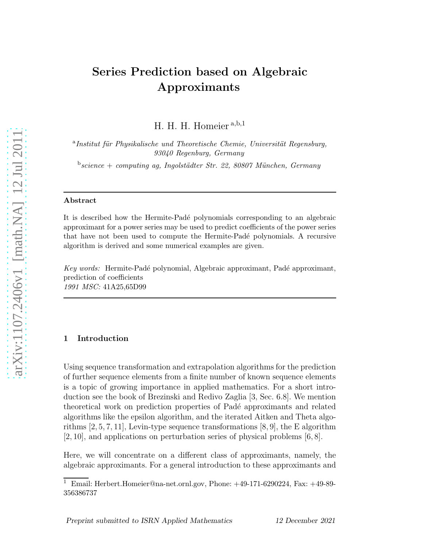# Series Prediction based on Algebraic Approximants

H. H. H. Homeier <sup>a</sup>,b,<sup>1</sup>

<sup>a</sup>Institut für Physikalische und Theoretische Chemie, Universität Regensburg, *93040 Regenburg, Germany*

<sup>b</sup>science + computing ag, Ingolstädter Str. 22, 80807 München, Germany

#### Abstract

It is described how the Hermite-Padé polynomials corresponding to an algebraic approximant for a power series may be used to predict coefficients of the power series that have not been used to compute the Hermite-Padé polynomials. A recursive algorithm is derived and some numerical examples are given.

*Key words:* Hermite-Padé polynomial, Algebraic approximant, Padé approximant, prediction of coefficients *1991 MSC:* 41A25,65D99

#### 1 Introduction

Using sequence transformation and extrapolation algorithms for the prediction of further sequence elements from a finite number of known sequence elements is a topic of growing importance in applied mathematics. For a short introduction see the book of Brezinski and Redivo Zaglia [3, Sec. 6.8]. We mention theoretical work on prediction properties of Pad´e approximants and related algorithms like the epsilon algorithm, and the iterated Aitken and Theta algorithms  $[2, 5, 7, 11]$ , Levin-type sequence transformations  $[8, 9]$ , the E algorithm [2, 10], and applications on perturbation series of physical problems [6, 8].

Here, we will concentrate on a different class of approximants, namely, the algebraic approximants. For a general introduction to these approximants and

<sup>1</sup> Email: Herbert.Homeier@na-net.ornl.gov, Phone: +49-171-6290224, Fax: +49-89- 356386737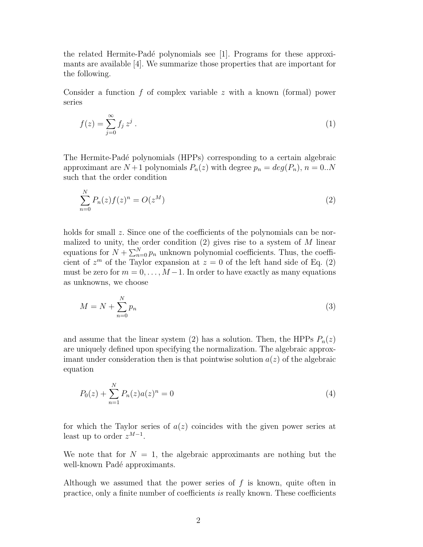the related Hermite-Padé polynomials see [1]. Programs for these approximants are available [4]. We summarize those properties that are important for the following.

Consider a function f of complex variable z with a known (formal) power series

$$
f(z) = \sum_{j=0}^{\infty} f_j z^j . \tag{1}
$$

The Hermite-Padé polynomials (HPPs) corresponding to a certain algebraic approximant are  $N+1$  polynomials  $P_n(z)$  with degree  $p_n = deg(P_n)$ ,  $n = 0..N$ such that the order condition

$$
\sum_{n=0}^{N} P_n(z) f(z)^n = O(z^M)
$$
\n(2)

holds for small z. Since one of the coefficients of the polynomials can be normalized to unity, the order condition  $(2)$  gives rise to a system of M linear equations for  $N + \sum_{n=0}^{N} p_n$  unknown polynomial coefficients. Thus, the coefficient of  $z^m$  of the Taylor expansion at  $z = 0$  of the left hand side of Eq. (2) must be zero for  $m = 0, \ldots, M-1$ . In order to have exactly as many equations as unknowns, we choose

$$
M = N + \sum_{n=0}^{N} p_n \tag{3}
$$

and assume that the linear system (2) has a solution. Then, the HPPs  $P_n(z)$ are uniquely defined upon specifying the normalization. The algebraic approximant under consideration then is that pointwise solution  $a(z)$  of the algebraic equation

$$
P_0(z) + \sum_{n=1}^{N} P_n(z)a(z)^n = 0
$$
\n(4)

for which the Taylor series of  $a(z)$  coincides with the given power series at least up to order  $z^{M-1}$ .

We note that for  $N = 1$ , the algebraic approximants are nothing but the well-known Padé approximants.

Although we assumed that the power series of  $f$  is known, quite often in practice, only a finite number of coefficients is really known. These coefficients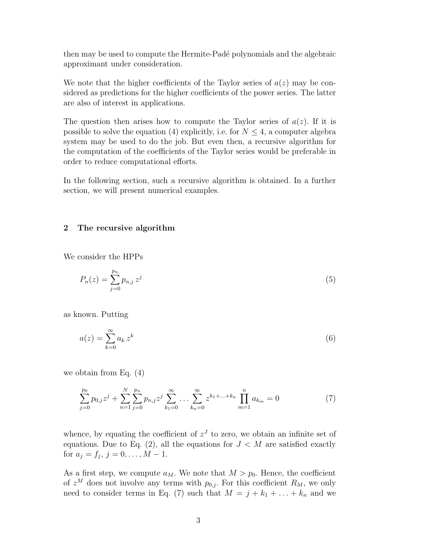then may be used to compute the Hermite-Padé polynomials and the algebraic approximant under consideration.

We note that the higher coefficients of the Taylor series of  $a(z)$  may be considered as predictions for the higher coefficients of the power series. The latter are also of interest in applications.

The question then arises how to compute the Taylor series of  $a(z)$ . If it is possible to solve the equation (4) explicitly, i.e. for  $N \leq 4$ , a computer algebra system may be used to do the job. But even then, a recursive algorithm for the computation of the coefficients of the Taylor series would be preferable in order to reduce computational efforts.

In the following section, such a recursive algorithm is obtained. In a further section, we will present numerical examples.

# 2 The recursive algorithm

We consider the HPPs

$$
P_n(z) = \sum_{j=0}^{p_n} p_{n,j} z^j
$$
\n(5)

as known. Putting

$$
a(z) = \sum_{k=0}^{\infty} a_k z^k
$$
 (6)

we obtain from Eq. (4)

$$
\sum_{j=0}^{p_0} p_{0,j} z^j + \sum_{n=1}^N \sum_{j=0}^{p_n} p_{n,j} z^j \sum_{k_1=0}^{\infty} \dots \sum_{k_n=0}^{\infty} z^{k_1 + \dots + k_n} \prod_{m=1}^n a_{k_m} = 0
$$
 (7)

whence, by equating the coefficient of  $z<sup>J</sup>$  to zero, we obtain an infinite set of equations. Due to Eq. (2), all the equations for  $J < M$  are satisfied exactly for  $a_j = f_j, j = 0, \ldots, M - 1$ .

As a first step, we compute  $a_M$ . We note that  $M > p_0$ . Hence, the coefficient of  $z^M$  does not involve any terms with  $p_{0,j}$ . For this coefficient  $R_M$ , we only need to consider terms in Eq. (7) such that  $M = j + k_1 + \ldots + k_n$  and we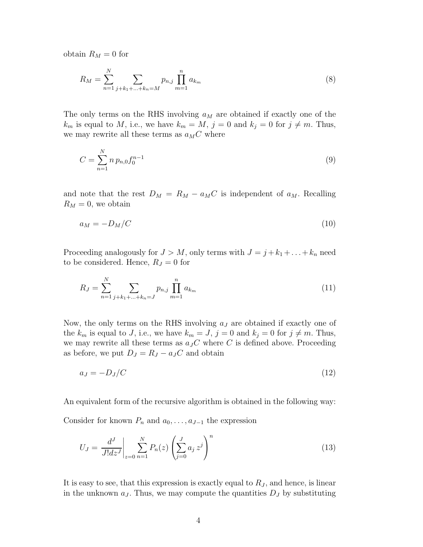obtain  $R_M = 0$  for

$$
R_M = \sum_{n=1}^{N} \sum_{j+k_1+\ldots+k_n=M} p_{n,j} \prod_{m=1}^{n} a_{k_m}
$$
 (8)

The only terms on the RHS involving  $a_M$  are obtained if exactly one of the  $k_m$  is equal to M, i.e., we have  $k_m = M$ ,  $j = 0$  and  $k_j = 0$  for  $j \neq m$ . Thus, we may rewrite all these terms as  $a_{M}C$  where

$$
C = \sum_{n=1}^{N} n p_{n,0} f_0^{n-1}
$$
\n(9)

and note that the rest  $D_M = R_M - a_M C$  is independent of  $a_M$ . Recalling  $R_M = 0$ , we obtain

$$
a_M = -D_M/C \tag{10}
$$

Proceeding analogously for  $J > M$ , only terms with  $J = j + k_1 + \ldots + k_n$  need to be considered. Hence,  $R_J = 0$  for

$$
R_J = \sum_{n=1}^{N} \sum_{j+k_1+\ldots+k_n=J} p_{n,j} \prod_{m=1}^{n} a_{k_m}
$$
 (11)

Now, the only terms on the RHS involving  $a_J$  are obtained if exactly one of the  $k_m$  is equal to J, i.e., we have  $k_m = J$ ,  $j = 0$  and  $k_j = 0$  for  $j \neq m$ . Thus, we may rewrite all these terms as  $a_J C$  where C is defined above. Proceeding as before, we put  $D_J = R_J - a_J C$  and obtain

$$
a_J = -D_J/C \tag{12}
$$

An equivalent form of the recursive algorithm is obtained in the following way:

Consider for known  $P_n$  and  $a_0, \ldots, a_{J-1}$  the expression

$$
U_J = \frac{d^J}{J!dz^J} \bigg|_{z=0} \sum_{n=1}^N P_n(z) \left( \sum_{j=0}^J a_j z^j \right)^n \tag{13}
$$

It is easy to see, that this expression is exactly equal to  $R_J$ , and hence, is linear in the unknown  $a_J$ . Thus, we may compute the quantities  $D_J$  by substituting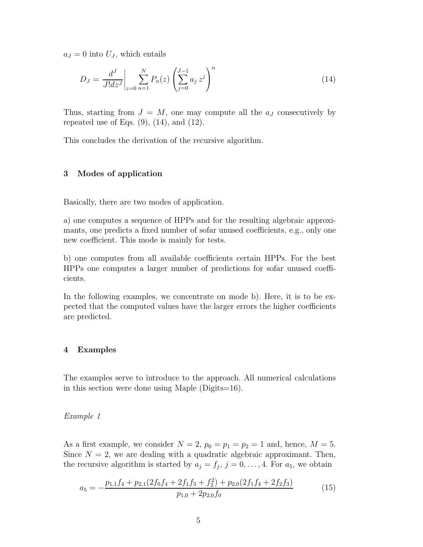$a_J = 0$  into  $U_J$ , which entails

$$
D_J = \frac{d^J}{J!dz^J} \bigg|_{z=0} \sum_{n=1}^N P_n(z) \left( \sum_{j=0}^{J-1} a_j z^j \right)^n \tag{14}
$$

Thus, starting from  $J = M$ , one may compute all the  $a_J$  consecutively by repeated use of Eqs.  $(9)$ ,  $(14)$ , and  $(12)$ .

This concludes the derivation of the recursive algorithm.

### 3 Modes of application

Basically, there are two modes of application.

a) one computes a sequence of HPPs and for the resulting algebraic approximants, one predicts a fixed number of sofar unused coefficients, e.g., only one new coefficient. This mode is mainly for tests.

b) one computes from all available coefficients certain HPPs. For the best HPPs one computes a larger number of predictions for sofar unused coefficients.

In the following examples, we concentrate on mode b). Here, it is to be expected that the computed values have the larger errors the higher coefficients are predicted.

#### 4 Examples

The examples serve to introduce to the approach. All numerical calculations in this section were done using Maple (Digits=16).

#### Example 1

As a first example, we consider  $N = 2$ ,  $p_0 = p_1 = p_2 = 1$  and, hence,  $M = 5$ . Since  $N = 2$ , we are dealing with a quadratic algebraic approximant. Then, the recursive algorithm is started by  $a_j = f_j$ ,  $j = 0, \ldots, 4$ . For  $a_5$ , we obtain

$$
a_5 = -\frac{p_{1,1}f_4 + p_{2,1}(2f_0f_4 + 2f_1f_3 + f_2^2) + p_{2,0}(2f_1f_4 + 2f_2f_3)}{p_{1,0} + 2p_{2,0}f_0}
$$
(15)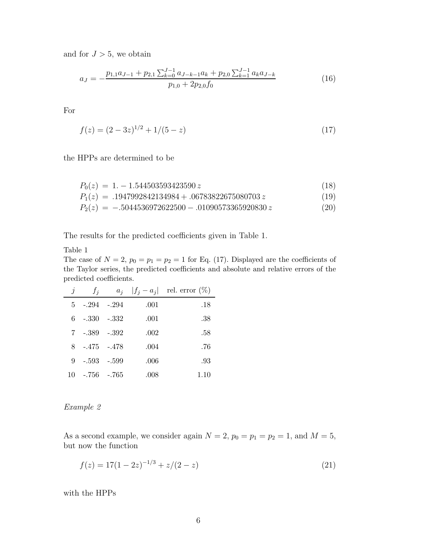and for  $J > 5$ , we obtain

$$
a_{J} = -\frac{p_{1,1}a_{J-1} + p_{2,1} \sum_{k=0}^{J-1} a_{J-k-1}a_k + p_{2,0} \sum_{k=1}^{J-1} a_k a_{J-k}}{p_{1,0} + 2p_{2,0}f_0}
$$
(16)

For

$$
f(z) = (2 - 3z)^{1/2} + 1/(5 - z)
$$
\n(17)

the HPPs are determined to be

$$
P_0(z) = 1. -1.544503593423590 z \tag{18}
$$

$$
P_1(z) = .1947992842134984 + .06783822675080703 z \tag{19}
$$

$$
P_2(z) = -.5044536972622500 - .01090573365920830 z \tag{20}
$$

The results for the predicted coefficients given in Table 1.

Table 1

The case of  $N = 2$ ,  $p_0 = p_1 = p_2 = 1$  for Eq. (17). Displayed are the coefficients of the Taylor series, the predicted coefficients and absolute and relative errors of the predicted coefficients.

| $\boldsymbol{\eta}$ | $f_i$           |      | $a_i$ $ f_i - a_i $ rel. error $(\%)$ |
|---------------------|-----------------|------|---------------------------------------|
|                     | $5 - 294 - 294$ | .001 | .18                                   |
|                     | $6 - 330 - 332$ | .001 | .38                                   |
|                     | 7 - 389 - 392   | .002 | .58                                   |
|                     | $8 - 475 - 478$ | .004 | .76                                   |
|                     | $9 - 593 - 599$ | .006 | .93                                   |
| 10                  | -.756 -.765     | .008 | 1.10                                  |

# Example 2

As a second example, we consider again  $N = 2$ ,  $p_0 = p_1 = p_2 = 1$ , and  $M = 5$ , but now the function

$$
f(z) = 17(1 - 2z)^{-1/3} + z/(2 - z)
$$
\n(21)

with the HPPs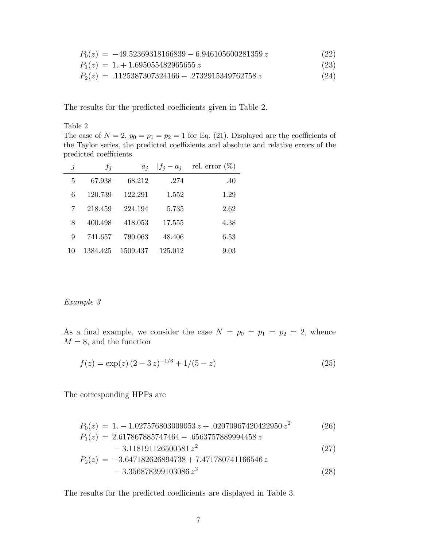$$
P_0(z) = -49.52369318166839 - 6.946105600281359 z
$$
\n
$$
P_1(z) = 1. + 1.695055482965655 z
$$
\n(23)

$$
P_2(z) = .1125387307324166 - .2732915349762758 z \tag{24}
$$

The results for the predicted coefficients given in Table 2.

# Table 2

The case of  $N = 2$ ,  $p_0 = p_1 = p_2 = 1$  for Eq. (21). Displayed are the coefficients of the Taylor series, the predicted coeffizients and absolute and relative errors of the predicted coefficients.

| $\jmath$ | $f_i$    | $a_i$    |         | $ f_i - a_i $ rel. error $(\%)$ |
|----------|----------|----------|---------|---------------------------------|
| 5        | 67.938   | 68.212   | .274    | .40                             |
| 6        | 120.739  | 122.291  | 1.552   | 1.29                            |
|          | 218.459  | 224.194  | 5.735   | 2.62                            |
| 8        | 400.498  | 418.053  | 17.555  | 4.38                            |
| 9        | 741.657  | 790.063  | 48.406  | 6.53                            |
| 10       | 1384.425 | 1509.437 | 125.012 | 9.03                            |

## Example 3

As a final example, we consider the case  $N = p_0 = p_1 = p_2 = 2$ , whence  $M=8,$  and the function

$$
f(z) = \exp(z) (2 - 3 z)^{-1/3} + 1/(5 - z)
$$
\n(25)

The corresponding HPPs are

$$
P_0(z) = 1. -1.027576803009053 z + .02070967420422950 z^2
$$
\n
$$
P_1(z) = 2.617867885747464 - .6563757889994458 z
$$
\n
$$
-3.118191126500581 z^2
$$
\n(27)

$$
P_2(z) = -3.647182626894738 + 7.471780741166546 z -3.356878399103086 z2
$$
 (28)

The results for the predicted coefficients are displayed in Table 3.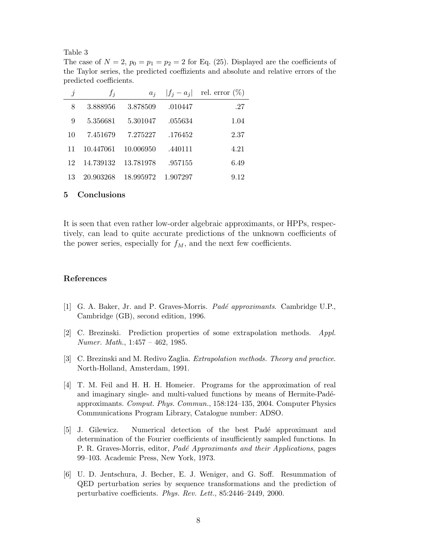Table 3

The case of  $N = 2$ ,  $p_0 = p_1 = p_2 = 2$  for Eq. (25). Displayed are the coefficients of the Taylor series, the predicted coeffizients and absolute and relative errors of the predicted coefficients.

| $\jmath$ | $f_j$     | $a_i$     |          | $ f_i - a_i $ rel. error $(\%)$ |
|----------|-----------|-----------|----------|---------------------------------|
| 8        | 3.888956  | 3.878509  | .010447  | .27                             |
| 9        | 5.356681  | 5.301047  | .055634  | 1.04                            |
| 10       | 7.451679  | 7.275227  | .176452  | 2.37                            |
| 11       | 10.447061 | 10.006950 | .440111  | 4.21                            |
| 12       | 14.739132 | 13.781978 | .957155  | 6.49                            |
| 13       | 20.903268 | 18.995972 | 1.907297 | 9.12                            |

#### 5 Conclusions

It is seen that even rather low-order algebraic approximants, or HPPs, respectively, can lead to quite accurate predictions of the unknown coefficients of the power series, especially for  $f_M$ , and the next few coefficients.

#### References

- [1] G. A. Baker, Jr. and P. Graves-Morris. *Pad´e approximants*. Cambridge U.P., Cambridge (GB), second edition, 1996.
- [2] C. Brezinski. Prediction properties of some extrapolation methods. *Appl. Numer. Math.*, 1:457 – 462, 1985.
- [3] C. Brezinski and M. Redivo Zaglia. *Extrapolation methods. Theory and practice*. North-Holland, Amsterdam, 1991.
- [4] T. M. Feil and H. H. H. Homeier. Programs for the approximation of real and imaginary single- and multi-valued functions by means of Hermite-Padéapproximants. *Comput. Phys. Commun.*, 158:124–135, 2004. Computer Physics Communications Program Library, Catalogue number: ADSO.
- [5] J. Gilewicz. Numerical detection of the best Padé approximant and determination of the Fourier coefficients of insufficiently sampled functions. In P. R. Graves-Morris, editor, *Pad´e Approximants and their Applications*, pages 99–103. Academic Press, New York, 1973.
- [6] U. D. Jentschura, J. Becher, E. J. Weniger, and G. Soff. Resummation of QED perturbation series by sequence transformations and the prediction of perturbative coefficients. *Phys. Rev. Lett.*, 85:2446–2449, 2000.